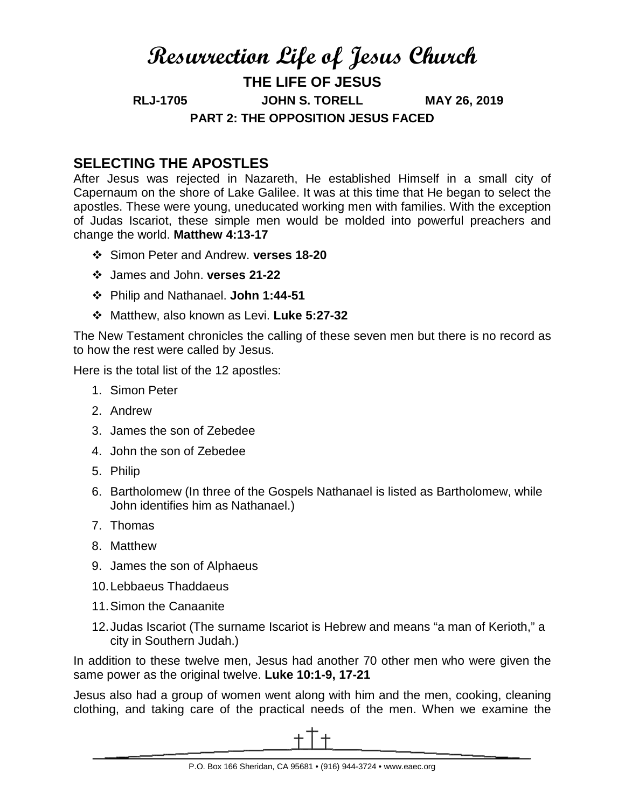# **Resurrection Life of Jesus Church THE LIFE OF JESUS RLJ-1705 JOHN S. TORELL MAY 26, 2019 PART 2: THE OPPOSITION JESUS FACED**

## **SELECTING THE APOSTLES**

After Jesus was rejected in Nazareth, He established Himself in a small city of Capernaum on the shore of Lake Galilee. It was at this time that He began to select the apostles. These were young, uneducated working men with families. With the exception of Judas Iscariot, these simple men would be molded into powerful preachers and change the world. **Matthew 4:13-17**

- Simon Peter and Andrew. **verses 18-20**
- James and John. **verses 21-22**
- Philip and Nathanael. **John 1:44-51**
- Matthew, also known as Levi. **Luke 5:27-32**

The New Testament chronicles the calling of these seven men but there is no record as to how the rest were called by Jesus.

Here is the total list of the 12 apostles:

- 1. Simon Peter
- 2. Andrew
- 3. James the son of Zebedee
- 4. John the son of Zebedee
- 5. Philip
- 6. Bartholomew (In three of the Gospels Nathanael is listed as Bartholomew, while John identifies him as Nathanael.)
- 7. Thomas
- 8. Matthew
- 9. James the son of Alphaeus
- 10.Lebbaeus Thaddaeus
- 11.Simon the Canaanite
- 12.Judas Iscariot (The surname Iscariot is Hebrew and means "a man of Kerioth," a city in Southern Judah.)

In addition to these twelve men, Jesus had another 70 other men who were given the same power as the original twelve. **Luke 10:1-9, 17-21**

Jesus also had a group of women went along with him and the men, cooking, cleaning clothing, and taking care of the practical needs of the men. When we examine the

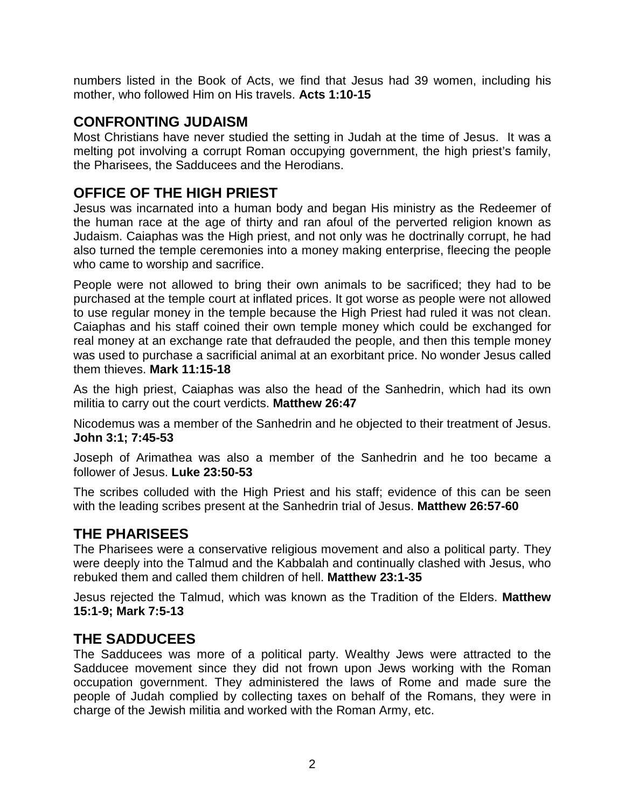numbers listed in the Book of Acts, we find that Jesus had 39 women, including his mother, who followed Him on His travels. **Acts 1:10-15**

#### **CONFRONTING JUDAISM**

Most Christians have never studied the setting in Judah at the time of Jesus. It was a melting pot involving a corrupt Roman occupying government, the high priest's family, the Pharisees, the Sadducees and the Herodians.

## **OFFICE OF THE HIGH PRIEST**

Jesus was incarnated into a human body and began His ministry as the Redeemer of the human race at the age of thirty and ran afoul of the perverted religion known as Judaism. Caiaphas was the High priest, and not only was he doctrinally corrupt, he had also turned the temple ceremonies into a money making enterprise, fleecing the people who came to worship and sacrifice.

People were not allowed to bring their own animals to be sacrificed; they had to be purchased at the temple court at inflated prices. It got worse as people were not allowed to use regular money in the temple because the High Priest had ruled it was not clean. Caiaphas and his staff coined their own temple money which could be exchanged for real money at an exchange rate that defrauded the people, and then this temple money was used to purchase a sacrificial animal at an exorbitant price. No wonder Jesus called them thieves. **Mark 11:15-18**

As the high priest, Caiaphas was also the head of the Sanhedrin, which had its own militia to carry out the court verdicts. **Matthew 26:47**

Nicodemus was a member of the Sanhedrin and he objected to their treatment of Jesus. **John 3:1; 7:45-53**

Joseph of Arimathea was also a member of the Sanhedrin and he too became a follower of Jesus. **Luke 23:50-53**

The scribes colluded with the High Priest and his staff; evidence of this can be seen with the leading scribes present at the Sanhedrin trial of Jesus. **Matthew 26:57-60**

# **THE PHARISEES**

The Pharisees were a conservative religious movement and also a political party. They were deeply into the Talmud and the Kabbalah and continually clashed with Jesus, who rebuked them and called them children of hell. **Matthew 23:1-35**

Jesus rejected the Talmud, which was known as the Tradition of the Elders. **Matthew 15:1-9; Mark 7:5-13** 

#### **THE SADDUCEES**

The Sadducees was more of a political party. Wealthy Jews were attracted to the Sadducee movement since they did not frown upon Jews working with the Roman occupation government. They administered the laws of Rome and made sure the people of Judah complied by collecting taxes on behalf of the Romans, they were in charge of the Jewish militia and worked with the Roman Army, etc.